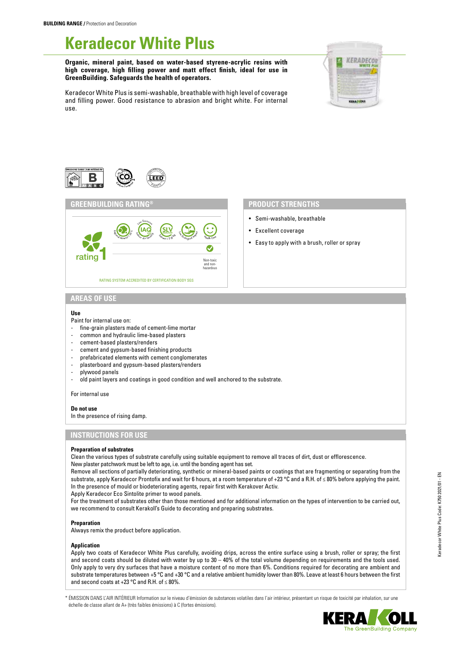# **Keradecor White Plus**

**Organic, mineral paint, based on water-based styrene-acrylic resins with high coverage, high filling power and matt effect finish, ideal for use in GreenBuilding. Safeguards the health of operators.**









- Semi-washable, breathable
- Excellent coverage
- Easy to apply with a brush, roller or spray

# **AREAS OF USE**

## **Use**

- Paint for internal use on:
- fine-grain plasters made of cement-lime mortar
- common and hydraulic lime-based plasters
- cement-based plasters/renders
- cement and gypsum-based finishing products
- prefabricated elements with cement conglomerates
- plasterboard and gypsum-based plasters/renders
- plywood panels
- old paint layers and coatings in good condition and well anchored to the substrate.

For internal use

**Do not use** In the presence of rising damp.

# **INSTRUCTIONS FOR USE**

#### **Preparation of substrates**

Clean the various types of substrate carefully using suitable equipment to remove all traces of dirt, dust or efflorescence. New plaster patchwork must be left to age, i.e. until the bonding agent has set.

Remove all sections of partially deteriorating, synthetic or mineral-based paints or coatings that are fragmenting or separating from the substrate, apply Keradecor Prontofix and wait for 6 hours, at a room temperature of +23 °C and a R.H. of ≤ 80% before applying the paint. In the presence of mould or biodeteriorating agents, repair first with Kerakover Activ.

Apply Keradecor Eco Sintolite primer to wood panels.

For the treatment of substrates other than those mentioned and for additional information on the types of intervention to be carried out, we recommend to consult Kerakoll's Guide to decorating and preparing substrates.

### **Preparation**

Always remix the product before application.

#### **Application**

Apply two coats of Keradecor White Plus carefully, avoiding drips, across the entire surface using a brush, roller or spray; the first and second coats should be diluted with water by up to 30 – 40% of the total volume depending on requirements and the tools used. Only apply to very dry surfaces that have a moisture content of no more than 6%. Conditions required for decorating are ambient and substrate temperatures between +5  $^{\circ}$ C and +30  $^{\circ}$ C and a relative ambient humidity lower than 80%. Leave at least 6 hours between the first and second coats at +23  $^{\circ}$ C and R.H. of  $\leq$  80%.

\* ÉMISSION DANS L'AIR INTÉRIEUR Information sur le niveau d'émission de substances volatiles dans l'air intérieur, présentant un risque de toxicité par inhalation, sur une échelle de classe allant de A+ (très faibles émissions) à C (fortes émissions).